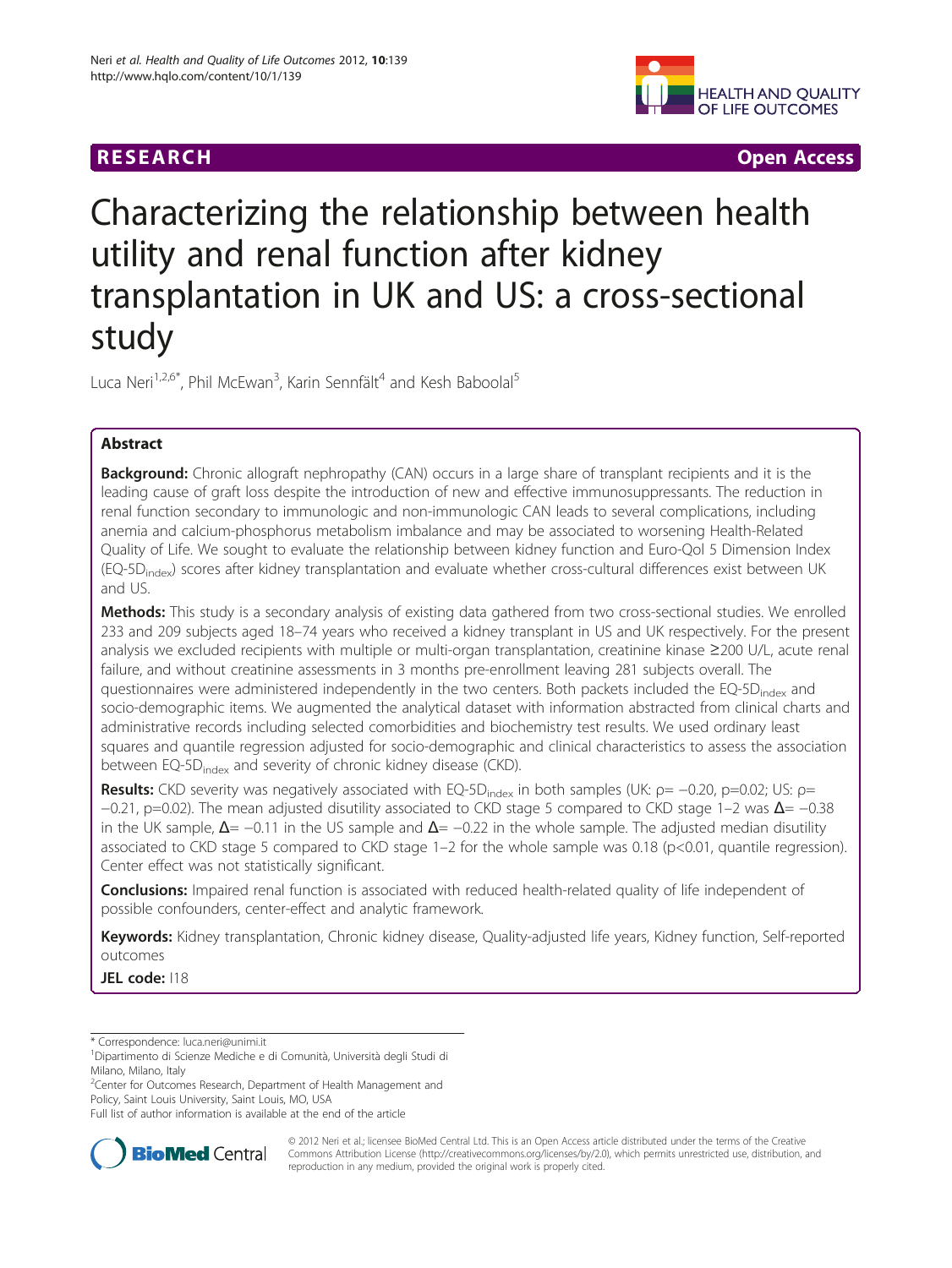



# Characterizing the relationship between health utility and renal function after kidney transplantation in UK and US: a cross-sectional study

Luca Neri<sup>1,2,6\*</sup>, Phil McEwan<sup>3</sup>, Karin Sennfält<sup>4</sup> and Kesh Baboolal<sup>5</sup>

## Abstract

**Background:** Chronic allograft nephropathy (CAN) occurs in a large share of transplant recipients and it is the leading cause of graft loss despite the introduction of new and effective immunosuppressants. The reduction in renal function secondary to immunologic and non-immunologic CAN leads to several complications, including anemia and calcium-phosphorus metabolism imbalance and may be associated to worsening Health-Related Quality of Life. We sought to evaluate the relationship between kidney function and Euro-Qol 5 Dimension Index (EQ-5D<sub>index</sub>) scores after kidney transplantation and evaluate whether cross-cultural differences exist between UK and US.

Methods: This study is a secondary analysis of existing data gathered from two cross-sectional studies. We enrolled 233 and 209 subjects aged 18–74 years who received a kidney transplant in US and UK respectively. For the present analysis we excluded recipients with multiple or multi-organ transplantation, creatinine kinase ≥200 U/L, acute renal failure, and without creatinine assessments in 3 months pre-enrollment leaving 281 subjects overall. The questionnaires were administered independently in the two centers. Both packets included the EQ-5D<sub>index</sub> and socio-demographic items. We augmented the analytical dataset with information abstracted from clinical charts and administrative records including selected comorbidities and biochemistry test results. We used ordinary least squares and quantile regression adjusted for socio-demographic and clinical characteristics to assess the association between EQ-5D<sub>index</sub> and severity of chronic kidney disease (CKD).

Results: CKD severity was negatively associated with EQ-5D<sub>index</sub> in both samples (UK:  $p = -0.20$ ,  $p = 0.02$ ; US:  $p =$ −0.21, p=0.02). The mean adjusted disutility associated to CKD stage 5 compared to CKD stage 1–2 was  $\Delta$ = −0.38 in the UK sample,  $\Delta$ = −0.11 in the US sample and  $\Delta$  = −0.22 in the whole sample. The adjusted median disutility associated to CKD stage 5 compared to CKD stage 1–2 for the whole sample was 0.18 (p<0.01, quantile regression). Center effect was not statistically significant.

**Conclusions:** Impaired renal function is associated with reduced health-related quality of life independent of possible confounders, center-effect and analytic framework.

Keywords: Kidney transplantation, Chronic kidney disease, Quality-adjusted life years, Kidney function, Self-reported outcomes

JEL code: 118

\* Correspondence: [luca.neri@unimi.it](mailto:luca.neri@unimi.it) <sup>1</sup>

<sup>2</sup> Center for Outcomes Research, Department of Health Management and Policy, Saint Louis University, Saint Louis, MO, USA

Full list of author information is available at the end of the article



© 2012 Neri et al.; licensee BioMed Central Ltd. This is an Open Access article distributed under the terms of the Creative Commons Attribution License [\(http://creativecommons.org/licenses/by/2.0\)](http://creativecommons.org/licenses/by/2.0), which permits unrestricted use, distribution, and reproduction in any medium, provided the original work is properly cited.

Dipartimento di Scienze Mediche e di Comunità, Università degli Studi di Milano, Milano, Italy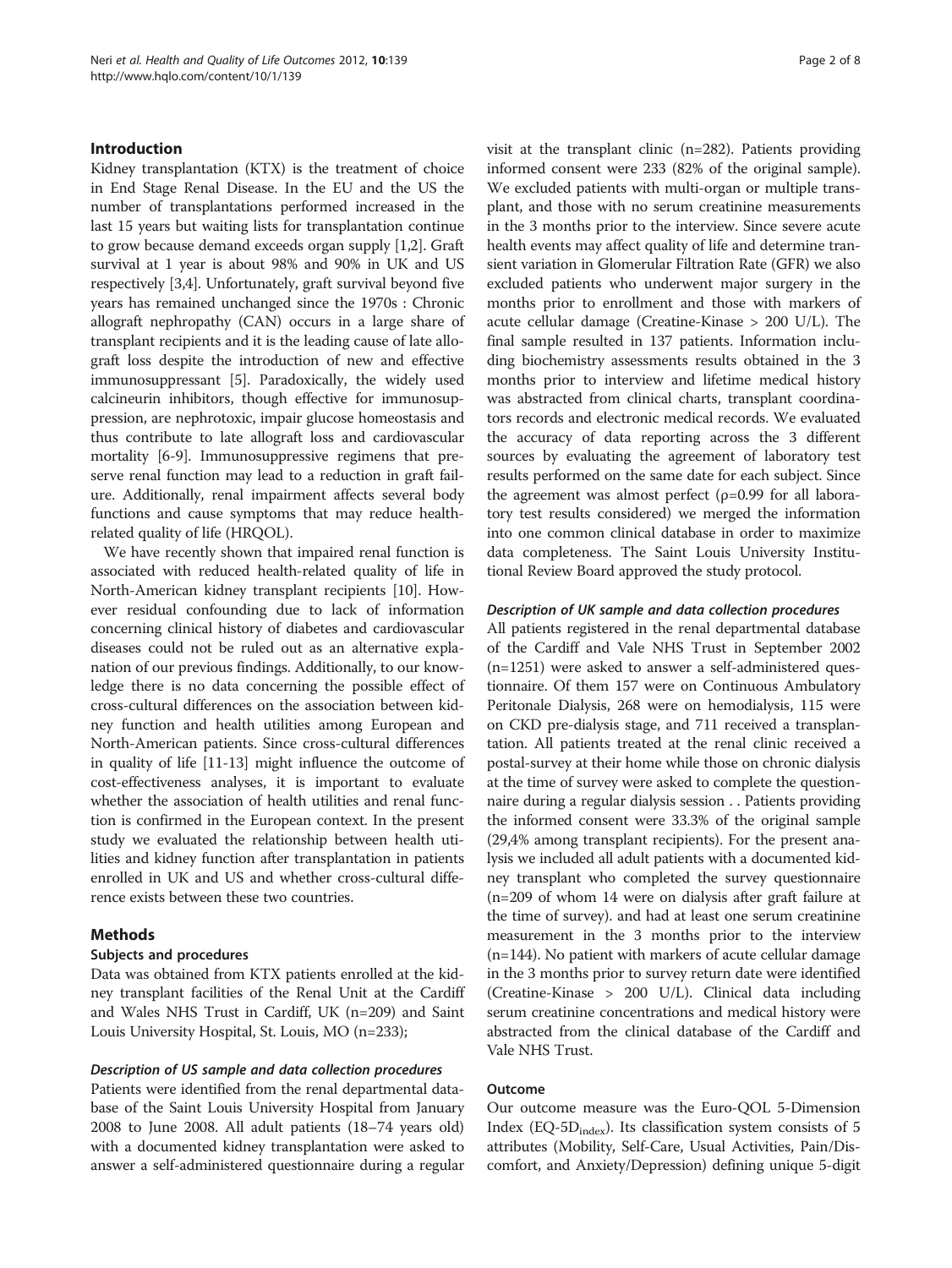## Introduction

Kidney transplantation (KTX) is the treatment of choice in End Stage Renal Disease. In the EU and the US the number of transplantations performed increased in the last 15 years but waiting lists for transplantation continue to grow because demand exceeds organ supply [\[1,2\]](#page-6-0). Graft survival at 1 year is about 98% and 90% in UK and US respectively [\[3,4\]](#page-6-0). Unfortunately, graft survival beyond five years has remained unchanged since the 1970s : Chronic allograft nephropathy (CAN) occurs in a large share of transplant recipients and it is the leading cause of late allograft loss despite the introduction of new and effective immunosuppressant [[5](#page-6-0)]. Paradoxically, the widely used calcineurin inhibitors, though effective for immunosuppression, are nephrotoxic, impair glucose homeostasis and thus contribute to late allograft loss and cardiovascular mortality [[6-9\]](#page-6-0). Immunosuppressive regimens that preserve renal function may lead to a reduction in graft failure. Additionally, renal impairment affects several body functions and cause symptoms that may reduce healthrelated quality of life (HRQOL).

We have recently shown that impaired renal function is associated with reduced health-related quality of life in North-American kidney transplant recipients [[10](#page-6-0)]. However residual confounding due to lack of information concerning clinical history of diabetes and cardiovascular diseases could not be ruled out as an alternative explanation of our previous findings. Additionally, to our knowledge there is no data concerning the possible effect of cross-cultural differences on the association between kidney function and health utilities among European and North-American patients. Since cross-cultural differences in quality of life [[11](#page-6-0)[-13\]](#page-7-0) might influence the outcome of cost-effectiveness analyses, it is important to evaluate whether the association of health utilities and renal function is confirmed in the European context. In the present study we evaluated the relationship between health utilities and kidney function after transplantation in patients enrolled in UK and US and whether cross-cultural difference exists between these two countries.

## Methods

#### Subjects and procedures

Data was obtained from KTX patients enrolled at the kidney transplant facilities of the Renal Unit at the Cardiff and Wales NHS Trust in Cardiff, UK (n=209) and Saint Louis University Hospital, St. Louis, MO (n=233);

#### Description of US sample and data collection procedures

Patients were identified from the renal departmental database of the Saint Louis University Hospital from January 2008 to June 2008. All adult patients (18–74 years old) with a documented kidney transplantation were asked to answer a self-administered questionnaire during a regular visit at the transplant clinic (n=282). Patients providing informed consent were 233 (82% of the original sample). We excluded patients with multi-organ or multiple transplant, and those with no serum creatinine measurements in the 3 months prior to the interview. Since severe acute health events may affect quality of life and determine transient variation in Glomerular Filtration Rate (GFR) we also excluded patients who underwent major surgery in the months prior to enrollment and those with markers of acute cellular damage (Creatine-Kinase > 200 U/L). The final sample resulted in 137 patients. Information including biochemistry assessments results obtained in the 3 months prior to interview and lifetime medical history was abstracted from clinical charts, transplant coordinators records and electronic medical records. We evaluated the accuracy of data reporting across the 3 different sources by evaluating the agreement of laboratory test results performed on the same date for each subject. Since the agreement was almost perfect  $(\rho=0.99)$  for all laboratory test results considered) we merged the information into one common clinical database in order to maximize data completeness. The Saint Louis University Institutional Review Board approved the study protocol.

## Description of UK sample and data collection procedures

All patients registered in the renal departmental database of the Cardiff and Vale NHS Trust in September 2002 (n=1251) were asked to answer a self-administered questionnaire. Of them 157 were on Continuous Ambulatory Peritonale Dialysis, 268 were on hemodialysis, 115 were on CKD pre-dialysis stage, and 711 received a transplantation. All patients treated at the renal clinic received a postal-survey at their home while those on chronic dialysis at the time of survey were asked to complete the questionnaire during a regular dialysis session . . Patients providing the informed consent were 33.3% of the original sample (29,4% among transplant recipients). For the present analysis we included all adult patients with a documented kidney transplant who completed the survey questionnaire (n=209 of whom 14 were on dialysis after graft failure at the time of survey). and had at least one serum creatinine measurement in the 3 months prior to the interview (n=144). No patient with markers of acute cellular damage in the 3 months prior to survey return date were identified (Creatine-Kinase > 200 U/L). Clinical data including serum creatinine concentrations and medical history were abstracted from the clinical database of the Cardiff and Vale NHS Trust.

## **Outcome**

Our outcome measure was the Euro-QOL 5-Dimension Index (EQ-5D $_{index}$ ). Its classification system consists of 5 attributes (Mobility, Self-Care, Usual Activities, Pain/Discomfort, and Anxiety/Depression) defining unique 5-digit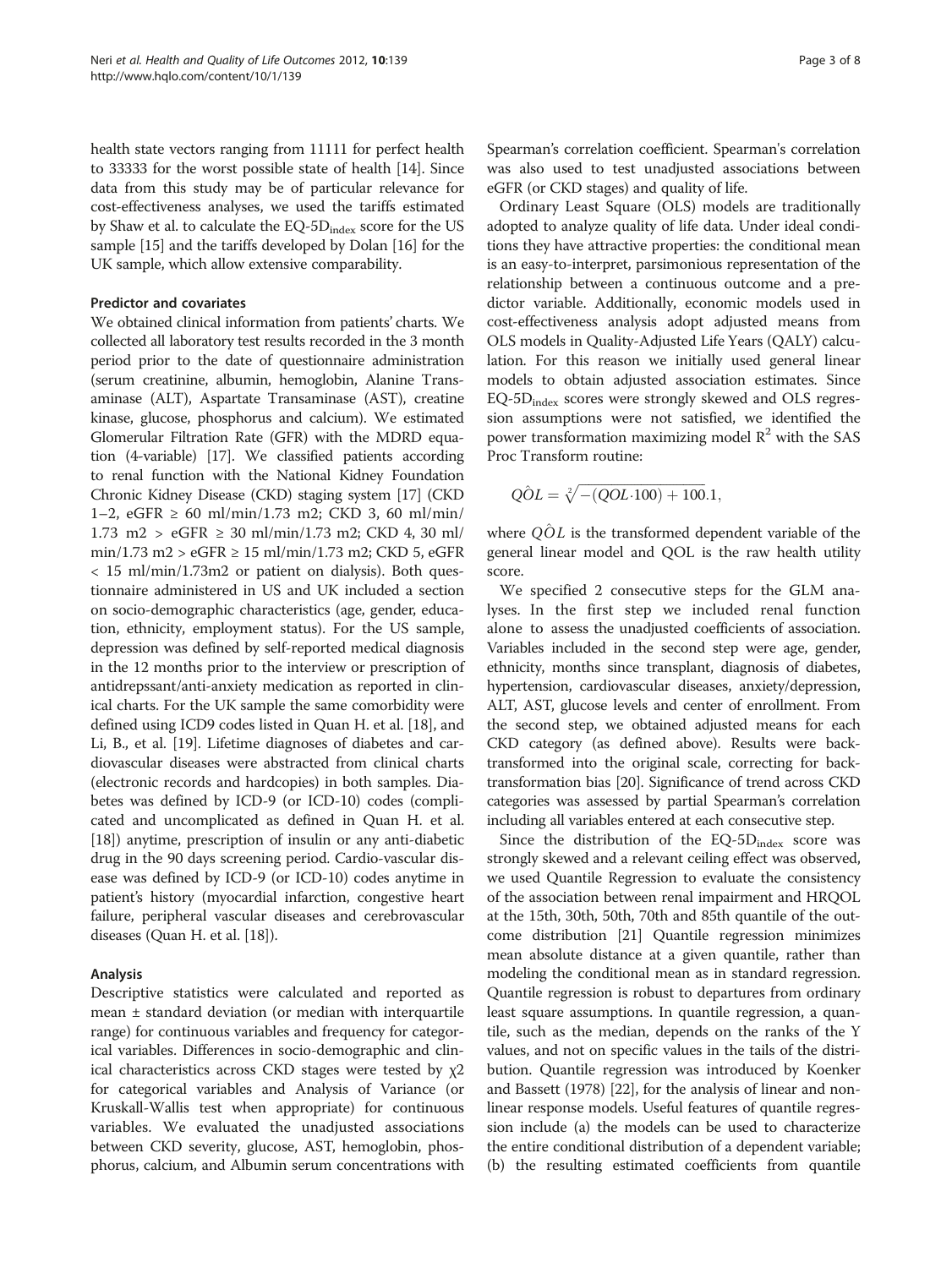health state vectors ranging from 11111 for perfect health to 33333 for the worst possible state of health [\[14\]](#page-7-0). Since data from this study may be of particular relevance for cost-effectiveness analyses, we used the tariffs estimated by Shaw et al. to calculate the  $EQ-5D_{index}$  score for the US sample [\[15](#page-7-0)] and the tariffs developed by Dolan [\[16](#page-7-0)] for the UK sample, which allow extensive comparability.

#### Predictor and covariates

We obtained clinical information from patients' charts. We collected all laboratory test results recorded in the 3 month period prior to the date of questionnaire administration (serum creatinine, albumin, hemoglobin, Alanine Transaminase (ALT), Aspartate Transaminase (AST), creatine kinase, glucose, phosphorus and calcium). We estimated Glomerular Filtration Rate (GFR) with the MDRD equation (4-variable) [\[17\]](#page-7-0). We classified patients according to renal function with the National Kidney Foundation Chronic Kidney Disease (CKD) staging system [\[17\]](#page-7-0) (CKD 1–2, eGFR ≥ 60 ml/min/1.73 m2; CKD 3, 60 ml/min/ 1.73 m2 >  $eGFR \ge 30$  ml/min/1.73 m2; CKD 4, 30 ml/ min/1.73 m2 > eGFR ≥ 15 ml/min/1.73 m2; CKD 5, eGFR < 15 ml/min/1.73m2 or patient on dialysis). Both questionnaire administered in US and UK included a section on socio-demographic characteristics (age, gender, education, ethnicity, employment status). For the US sample, depression was defined by self-reported medical diagnosis in the 12 months prior to the interview or prescription of antidrepssant/anti-anxiety medication as reported in clinical charts. For the UK sample the same comorbidity were defined using ICD9 codes listed in Quan H. et al. [\[18\]](#page-7-0), and Li, B., et al. [\[19\]](#page-7-0). Lifetime diagnoses of diabetes and cardiovascular diseases were abstracted from clinical charts (electronic records and hardcopies) in both samples. Diabetes was defined by ICD-9 (or ICD-10) codes (complicated and uncomplicated as defined in Quan H. et al. [[18](#page-7-0)]) anytime, prescription of insulin or any anti-diabetic drug in the 90 days screening period. Cardio-vascular disease was defined by ICD-9 (or ICD-10) codes anytime in patient's history (myocardial infarction, congestive heart failure, peripheral vascular diseases and cerebrovascular diseases (Quan H. et al. [\[18\]](#page-7-0)).

#### Analysis

Descriptive statistics were calculated and reported as mean  $\pm$  standard deviation (or median with interquartile range) for continuous variables and frequency for categorical variables. Differences in socio-demographic and clinical characteristics across CKD stages were tested by  $\chi$ 2 for categorical variables and Analysis of Variance (or Kruskall-Wallis test when appropriate) for continuous variables. We evaluated the unadjusted associations between CKD severity, glucose, AST, hemoglobin, phosphorus, calcium, and Albumin serum concentrations with Spearman's correlation coefficient. Spearman's correlation was also used to test unadjusted associations between eGFR (or CKD stages) and quality of life.

Ordinary Least Square (OLS) models are traditionally adopted to analyze quality of life data. Under ideal conditions they have attractive properties: the conditional mean is an easy-to-interpret, parsimonious representation of the relationship between a continuous outcome and a predictor variable. Additionally, economic models used in cost-effectiveness analysis adopt adjusted means from OLS models in Quality-Adjusted Life Years (QALY) calculation. For this reason we initially used general linear models to obtain adjusted association estimates. Since EQ-5Dindex scores were strongly skewed and OLS regression assumptions were not satisfied, we identified the power transformation maximizing model  $\mathbb{R}^2$  with the SAS Proc Transform routine:

$$
Q\hat{O}L = \sqrt[2]{-(QOL \cdot 100) + 100.1},
$$

where  $Q \hat{O} L$  is the transformed dependent variable of the general linear model and QOL is the raw health utility score.

We specified 2 consecutive steps for the GLM analyses. In the first step we included renal function alone to assess the unadjusted coefficients of association. Variables included in the second step were age, gender, ethnicity, months since transplant, diagnosis of diabetes, hypertension, cardiovascular diseases, anxiety/depression, ALT, AST, glucose levels and center of enrollment. From the second step, we obtained adjusted means for each CKD category (as defined above). Results were backtransformed into the original scale, correcting for backtransformation bias [\[20\]](#page-7-0). Significance of trend across CKD categories was assessed by partial Spearman's correlation including all variables entered at each consecutive step.

Since the distribution of the  $EQ-5D_{index}$  score was strongly skewed and a relevant ceiling effect was observed, we used Quantile Regression to evaluate the consistency of the association between renal impairment and HRQOL at the 15th, 30th, 50th, 70th and 85th quantile of the outcome distribution [\[21](#page-7-0)] Quantile regression minimizes mean absolute distance at a given quantile, rather than modeling the conditional mean as in standard regression. Quantile regression is robust to departures from ordinary least square assumptions. In quantile regression, a quantile, such as the median, depends on the ranks of the Y values, and not on specific values in the tails of the distribution. Quantile regression was introduced by Koenker and Bassett (1978) [[22](#page-7-0)], for the analysis of linear and nonlinear response models. Useful features of quantile regression include (a) the models can be used to characterize the entire conditional distribution of a dependent variable; (b) the resulting estimated coefficients from quantile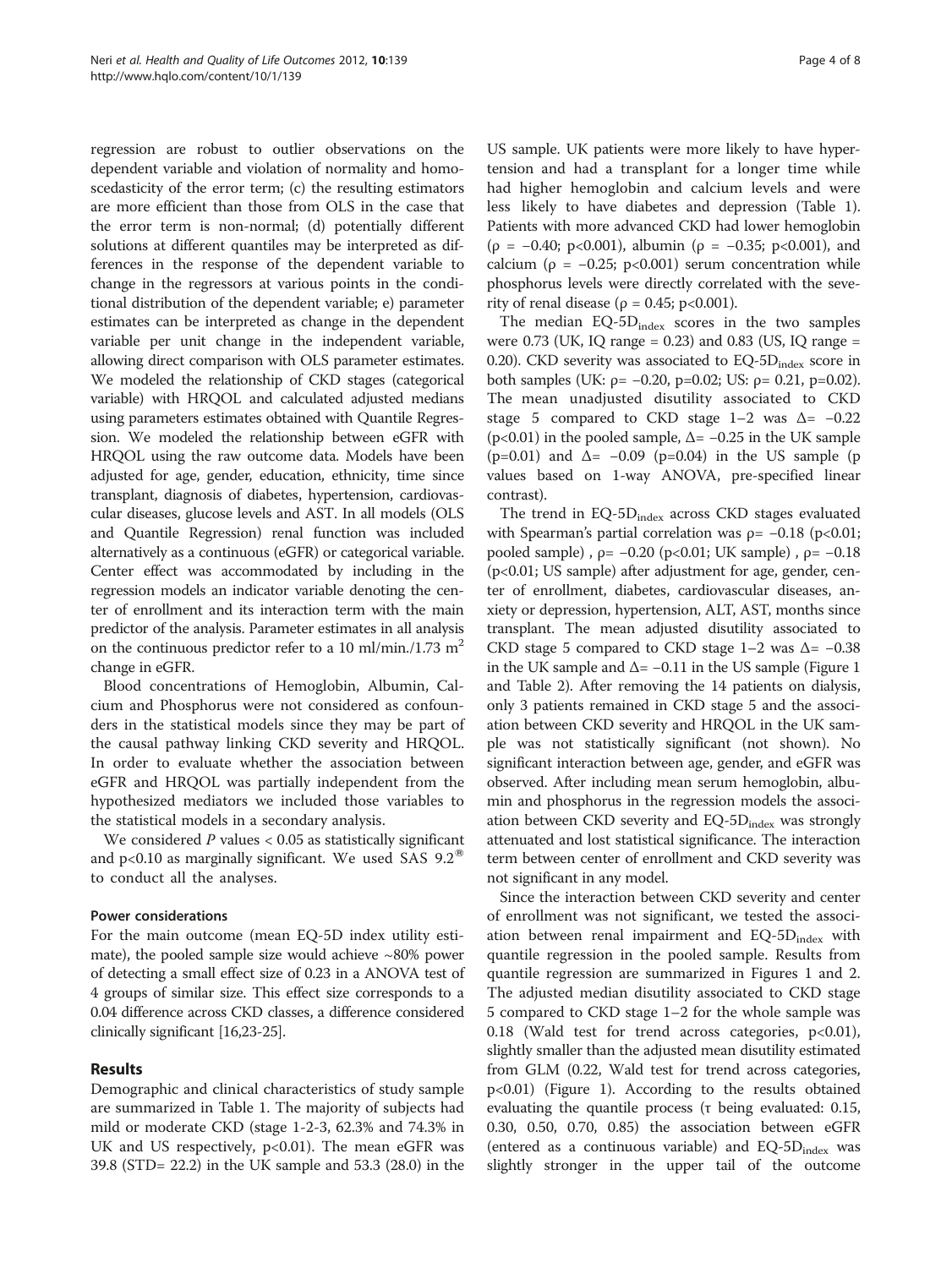regression are robust to outlier observations on the dependent variable and violation of normality and homoscedasticity of the error term; (c) the resulting estimators are more efficient than those from OLS in the case that the error term is non-normal; (d) potentially different solutions at different quantiles may be interpreted as differences in the response of the dependent variable to change in the regressors at various points in the conditional distribution of the dependent variable; e) parameter estimates can be interpreted as change in the dependent variable per unit change in the independent variable, allowing direct comparison with OLS parameter estimates. We modeled the relationship of CKD stages (categorical variable) with HRQOL and calculated adjusted medians using parameters estimates obtained with Quantile Regression. We modeled the relationship between eGFR with HRQOL using the raw outcome data. Models have been adjusted for age, gender, education, ethnicity, time since transplant, diagnosis of diabetes, hypertension, cardiovascular diseases, glucose levels and AST. In all models (OLS and Quantile Regression) renal function was included alternatively as a continuous (eGFR) or categorical variable. Center effect was accommodated by including in the regression models an indicator variable denoting the center of enrollment and its interaction term with the main predictor of the analysis. Parameter estimates in all analysis on the continuous predictor refer to a 10 ml/min./1.73 m<sup>2</sup> change in eGFR.

Blood concentrations of Hemoglobin, Albumin, Calcium and Phosphorus were not considered as confounders in the statistical models since they may be part of the causal pathway linking CKD severity and HRQOL. In order to evaluate whether the association between eGFR and HRQOL was partially independent from the hypothesized mediators we included those variables to the statistical models in a secondary analysis.

We considered  $P$  values  $< 0.05$  as statistically significant and p<0.10 as marginally significant. We used SAS  $9.2^{\circ}$ to conduct all the analyses.

## Power considerations

For the main outcome (mean EQ-5D index utility estimate), the pooled sample size would achieve  $\sim80\%$  power of detecting a small effect size of 0.23 in a ANOVA test of 4 groups of similar size. This effect size corresponds to a 0.04 difference across CKD classes, a difference considered clinically significant [[16,23-25\]](#page-7-0).

## Results

Demographic and clinical characteristics of study sample are summarized in Table [1.](#page-4-0) The majority of subjects had mild or moderate CKD (stage 1-2-3, 62.3% and 74.3% in UK and US respectively,  $p<0.01$ ). The mean eGFR was 39.8 (STD= 22.2) in the UK sample and 53.3 (28.0) in the

US sample. UK patients were more likely to have hypertension and had a transplant for a longer time while had higher hemoglobin and calcium levels and were less likely to have diabetes and depression (Table [1](#page-4-0)). Patients with more advanced CKD had lower hemoglobin ( $\rho = -0.40$ ; p<0.001), albumin ( $\rho = -0.35$ ; p<0.001), and calcium ( $\rho = -0.25$ ; p<0.001) serum concentration while phosphorus levels were directly correlated with the severity of renal disease ( $\rho = 0.45$ ; p<0.001).

The median EQ-5D<sub>index</sub> scores in the two samples were  $0.73$  (UK, IQ range =  $0.23$ ) and  $0.83$  (US, IQ range = 0.20). CKD severity was associated to  $EQ-5D<sub>index</sub>$  score in both samples (UK:  $p = -0.20$ ,  $p = 0.02$ ; US:  $p = 0.21$ ,  $p = 0.02$ ). The mean unadjusted disutility associated to CKD stage 5 compared to CKD stage  $1-2$  was  $\Delta = -0.22$ ( $p<0.01$ ) in the pooled sample,  $\Delta$  = -0.25 in the UK sample  $(p=0.01)$  and  $\Delta = -0.09$  (p=0.04) in the US sample (p values based on 1-way ANOVA, pre-specified linear contrast).

The trend in  $EQ-5D_{index}$  across CKD stages evaluated with Spearman's partial correlation was  $p = -0.18$  (p<0.01; pooled sample),  $\rho = -0.20$  (p<0.01; UK sample),  $\rho = -0.18$ (p<0.01; US sample) after adjustment for age, gender, center of enrollment, diabetes, cardiovascular diseases, anxiety or depression, hypertension, ALT, AST, months since transplant. The mean adjusted disutility associated to CKD stage 5 compared to CKD stage  $1-2$  was  $\Delta = -0.38$ in the UK sample and  $\Delta$  = -0.11 in the US sample (Figure [1](#page-4-0) and Table [2\)](#page-5-0). After removing the 14 patients on dialysis, only 3 patients remained in CKD stage 5 and the association between CKD severity and HRQOL in the UK sample was not statistically significant (not shown). No significant interaction between age, gender, and eGFR was observed. After including mean serum hemoglobin, albumin and phosphorus in the regression models the association between CKD severity and  $EQ-5D_{index}$  was strongly attenuated and lost statistical significance. The interaction term between center of enrollment and CKD severity was not significant in any model.

Since the interaction between CKD severity and center of enrollment was not significant, we tested the association between renal impairment and  $EQ-5D_{index}$  with quantile regression in the pooled sample. Results from quantile regression are summarized in Figures [1](#page-4-0) and [2](#page-5-0). The adjusted median disutility associated to CKD stage 5 compared to CKD stage 1–2 for the whole sample was 0.18 (Wald test for trend across categories,  $p<0.01$ ), slightly smaller than the adjusted mean disutility estimated from GLM (0.22, Wald test for trend across categories, p<0.01) (Figure [1](#page-4-0)). According to the results obtained evaluating the quantile process (τ being evaluated:  $0.15$ , 0.30, 0.50, 0.70, 0.85) the association between eGFR (entered as a continuous variable) and  $EQ-5D_{index}$  was slightly stronger in the upper tail of the outcome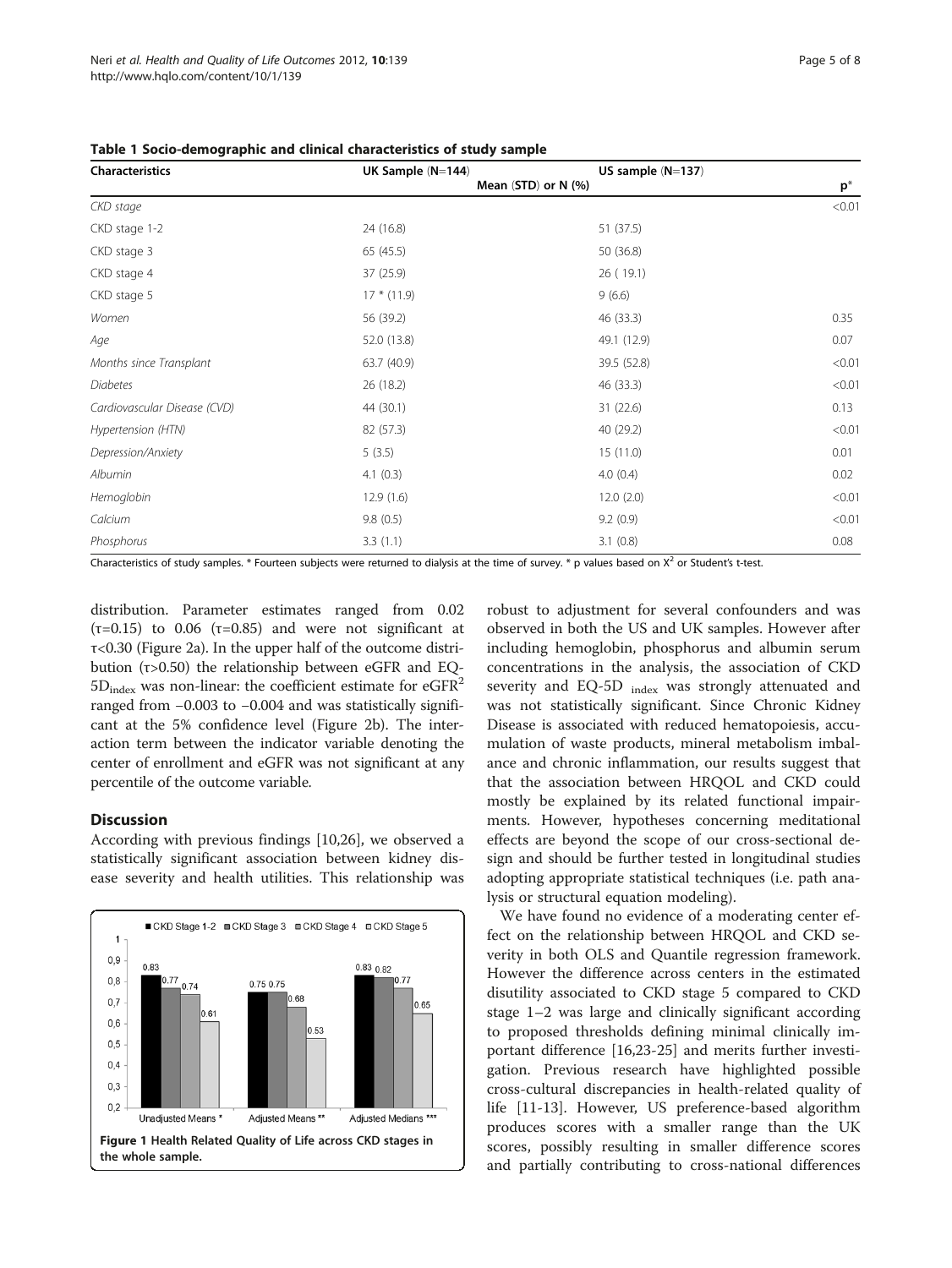| <b>Characteristics</b>       | UK Sample (N=144)   | US sample $(N=137)$ |        |
|------------------------------|---------------------|---------------------|--------|
|                              | Mean (STD) or N (%) |                     | $p^*$  |
| CKD stage                    |                     |                     | < 0.01 |
| CKD stage 1-2                | 24 (16.8)           | 51 (37.5)           |        |
| CKD stage 3                  | 65(45.5)            | 50 (36.8)           |        |
| CKD stage 4                  | 37 (25.9)           | 26(19.1)            |        |
| CKD stage 5                  | $17 * (11.9)$       | 9(6.6)              |        |
| Women                        | 56 (39.2)           | 46 (33.3)           | 0.35   |
| Age                          | 52.0 (13.8)         | 49.1 (12.9)         | 0.07   |
| Months since Transplant      | 63.7 (40.9)         | 39.5 (52.8)         | < 0.01 |
| <b>Diabetes</b>              | 26(18.2)            | 46 (33.3)           | < 0.01 |
| Cardiovascular Disease (CVD) | 44 (30.1)           | 31(22.6)            | 0.13   |
| Hypertension (HTN)           | 82 (57.3)           | 40 (29.2)           | < 0.01 |
| Depression/Anxiety           | 5(3.5)              | 15(11.0)            | 0.01   |
| Albumin                      | 4.1(0.3)            | 4.0(0.4)            | 0.02   |
| Hemoglobin                   | 12.9(1.6)           | 12.0(2.0)           | < 0.01 |
| Calcium                      | 9.8(0.5)            | 9.2(0.9)            | < 0.01 |
| Phosphorus                   | 3.3(1.1)            | 3.1(0.8)            | 0.08   |

<span id="page-4-0"></span>Table 1 Socio-demographic and clinical characteristics of study sample

Characteristics of study samples. \* Fourteen subjects were returned to dialysis at the time of survey. \* p values based on X<sup>2</sup> or Student's t-test.

distribution. Parameter estimates ranged from 0.02 (τ=0.15) to 0.06 (τ=0.85) and were not significant at τ<0.30 (Figure [2a](#page-5-0)). In the upper half of the outcome distribution (τ>0.50) the relationship between eGFR and EQ- $5D_{index}$  was non-linear: the coefficient estimate for eGFR<sup>2</sup> ranged from −0.003 to −0.004 and was statistically significant at the 5% confidence level (Figure [2b\)](#page-5-0). The interaction term between the indicator variable denoting the center of enrollment and eGFR was not significant at any percentile of the outcome variable.

## **Discussion**

According with previous findings [[10,](#page-6-0)[26\]](#page-7-0), we observed a statistically significant association between kidney disease severity and health utilities. This relationship was



robust to adjustment for several confounders and was observed in both the US and UK samples. However after including hemoglobin, phosphorus and albumin serum concentrations in the analysis, the association of CKD severity and EQ-5D <sub>index</sub> was strongly attenuated and was not statistically significant. Since Chronic Kidney Disease is associated with reduced hematopoiesis, accumulation of waste products, mineral metabolism imbalance and chronic inflammation, our results suggest that that the association between HRQOL and CKD could mostly be explained by its related functional impairments. However, hypotheses concerning meditational effects are beyond the scope of our cross-sectional design and should be further tested in longitudinal studies adopting appropriate statistical techniques (i.e. path analysis or structural equation modeling).

We have found no evidence of a moderating center effect on the relationship between HRQOL and CKD severity in both OLS and Quantile regression framework. However the difference across centers in the estimated disutility associated to CKD stage 5 compared to CKD stage 1–2 was large and clinically significant according to proposed thresholds defining minimal clinically important difference [[16,23-25\]](#page-7-0) and merits further investigation. Previous research have highlighted possible cross-cultural discrepancies in health-related quality of life [\[11](#page-6-0)-[13\]](#page-7-0). However, US preference-based algorithm produces scores with a smaller range than the UK scores, possibly resulting in smaller difference scores and partially contributing to cross-national differences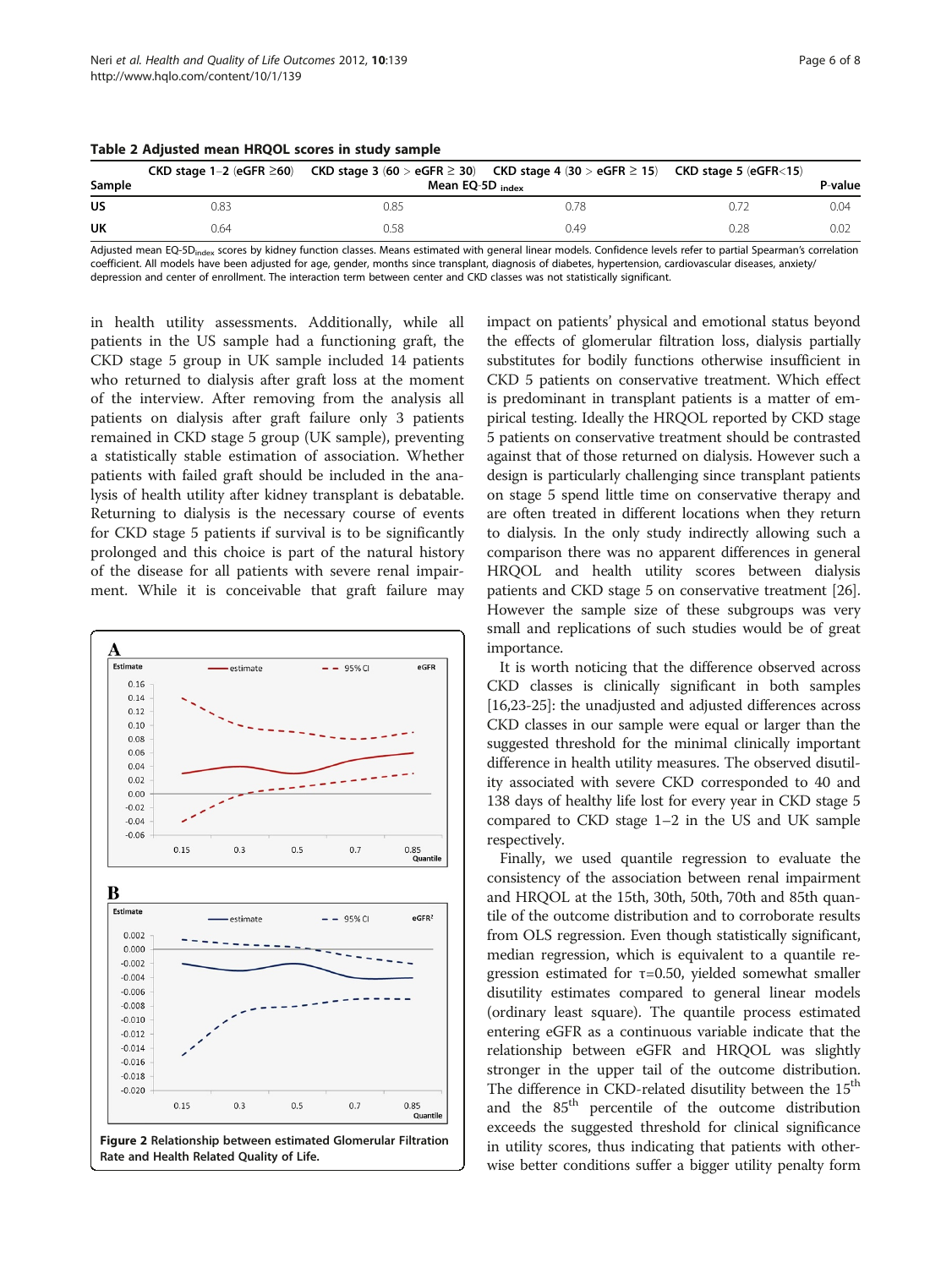|        |                             | CKD stage 1–2 (eGFR $\geq$ 60) CKD stage 3 (60 > eGFR $\geq$ 30) CKD stage 4 (30 > eGFR $\geq$ 15) CKD stage 5 (eGFR $\leq$ 15) |       |      |      |
|--------|-----------------------------|---------------------------------------------------------------------------------------------------------------------------------|-------|------|------|
| Sample | Mean EQ-5D <sub>index</sub> |                                                                                                                                 |       |      |      |
| US     | 0.83                        | 0.85                                                                                                                            | J.78- |      | 0.04 |
| UK     | 0.64                        | .58                                                                                                                             | 0.49  | ገ 28 | 0.02 |

<span id="page-5-0"></span>Table 2 Adjusted mean HRQOL scores in study sample

Adjusted mean EQ-5D<sub>index</sub> scores by kidney function classes. Means estimated with general linear models. Confidence levels refer to partial Spearman's correlation coefficient. All models have been adjusted for age, gender, months since transplant, diagnosis of diabetes, hypertension, cardiovascular diseases, anxiety/ depression and center of enrollment. The interaction term between center and CKD classes was not statistically significant.

in health utility assessments. Additionally, while all patients in the US sample had a functioning graft, the CKD stage 5 group in UK sample included 14 patients who returned to dialysis after graft loss at the moment of the interview. After removing from the analysis all patients on dialysis after graft failure only 3 patients remained in CKD stage 5 group (UK sample), preventing a statistically stable estimation of association. Whether patients with failed graft should be included in the analysis of health utility after kidney transplant is debatable. Returning to dialysis is the necessary course of events for CKD stage 5 patients if survival is to be significantly prolonged and this choice is part of the natural history of the disease for all patients with severe renal impairment. While it is conceivable that graft failure may



impact on patients' physical and emotional status beyond the effects of glomerular filtration loss, dialysis partially substitutes for bodily functions otherwise insufficient in CKD 5 patients on conservative treatment. Which effect is predominant in transplant patients is a matter of empirical testing. Ideally the HRQOL reported by CKD stage 5 patients on conservative treatment should be contrasted against that of those returned on dialysis. However such a design is particularly challenging since transplant patients on stage 5 spend little time on conservative therapy and are often treated in different locations when they return to dialysis. In the only study indirectly allowing such a comparison there was no apparent differences in general HRQOL and health utility scores between dialysis patients and CKD stage 5 on conservative treatment [[26](#page-7-0)]. However the sample size of these subgroups was very small and replications of such studies would be of great importance.

It is worth noticing that the difference observed across CKD classes is clinically significant in both samples [[16](#page-7-0),[23](#page-7-0)-[25](#page-7-0)]: the unadjusted and adjusted differences across CKD classes in our sample were equal or larger than the suggested threshold for the minimal clinically important difference in health utility measures. The observed disutility associated with severe CKD corresponded to 40 and 138 days of healthy life lost for every year in CKD stage 5 compared to CKD stage 1–2 in the US and UK sample respectively.

Finally, we used quantile regression to evaluate the consistency of the association between renal impairment and HRQOL at the 15th, 30th, 50th, 70th and 85th quantile of the outcome distribution and to corroborate results from OLS regression. Even though statistically significant, median regression, which is equivalent to a quantile regression estimated for  $τ=0.50$ , yielded somewhat smaller disutility estimates compared to general linear models (ordinary least square). The quantile process estimated entering eGFR as a continuous variable indicate that the relationship between eGFR and HRQOL was slightly stronger in the upper tail of the outcome distribution. The difference in CKD-related disutility between the 15<sup>th</sup> and the 85<sup>th</sup> percentile of the outcome distribution exceeds the suggested threshold for clinical significance in utility scores, thus indicating that patients with otherwise better conditions suffer a bigger utility penalty form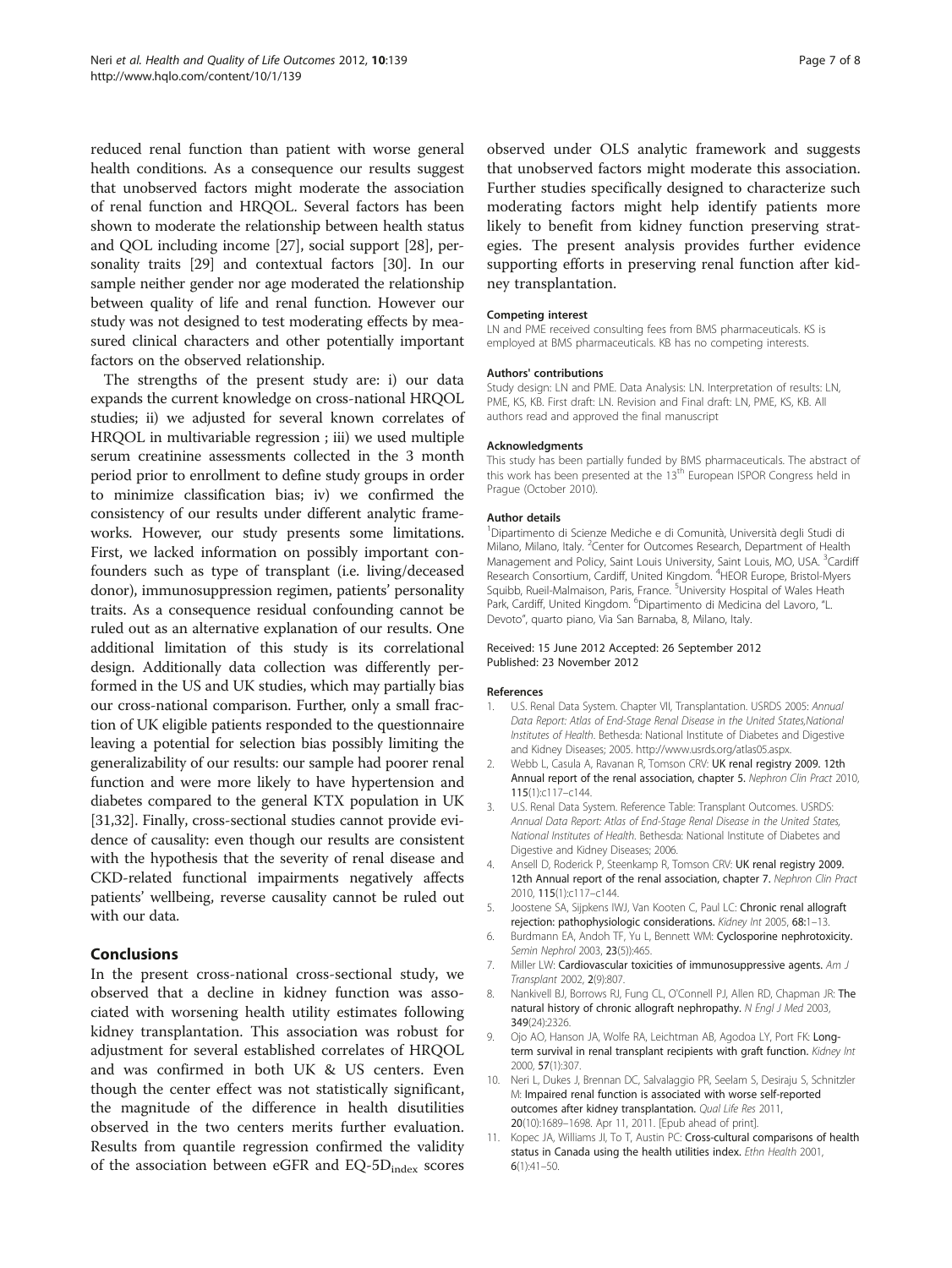<span id="page-6-0"></span>reduced renal function than patient with worse general health conditions. As a consequence our results suggest that unobserved factors might moderate the association of renal function and HRQOL. Several factors has been shown to moderate the relationship between health status and QOL including income [\[27\]](#page-7-0), social support [\[28\]](#page-7-0), personality traits [[29](#page-7-0)] and contextual factors [\[30](#page-7-0)]. In our sample neither gender nor age moderated the relationship between quality of life and renal function. However our study was not designed to test moderating effects by measured clinical characters and other potentially important factors on the observed relationship.

The strengths of the present study are: i) our data expands the current knowledge on cross-national HRQOL studies; ii) we adjusted for several known correlates of HRQOL in multivariable regression ; iii) we used multiple serum creatinine assessments collected in the 3 month period prior to enrollment to define study groups in order to minimize classification bias; iv) we confirmed the consistency of our results under different analytic frameworks. However, our study presents some limitations. First, we lacked information on possibly important confounders such as type of transplant (i.e. living/deceased donor), immunosuppression regimen, patients' personality traits. As a consequence residual confounding cannot be ruled out as an alternative explanation of our results. One additional limitation of this study is its correlational design. Additionally data collection was differently performed in the US and UK studies, which may partially bias our cross-national comparison. Further, only a small fraction of UK eligible patients responded to the questionnaire leaving a potential for selection bias possibly limiting the generalizability of our results: our sample had poorer renal function and were more likely to have hypertension and diabetes compared to the general KTX population in UK [[31,32](#page-7-0)]. Finally, cross-sectional studies cannot provide evidence of causality: even though our results are consistent with the hypothesis that the severity of renal disease and CKD-related functional impairments negatively affects patients' wellbeing, reverse causality cannot be ruled out with our data.

#### **Conclusions**

In the present cross-national cross-sectional study, we observed that a decline in kidney function was associated with worsening health utility estimates following kidney transplantation. This association was robust for adjustment for several established correlates of HRQOL and was confirmed in both UK & US centers. Even though the center effect was not statistically significant, the magnitude of the difference in health disutilities observed in the two centers merits further evaluation. Results from quantile regression confirmed the validity of the association between eGFR and EQ-5D<sub>index</sub> scores observed under OLS analytic framework and suggests that unobserved factors might moderate this association. Further studies specifically designed to characterize such moderating factors might help identify patients more likely to benefit from kidney function preserving strategies. The present analysis provides further evidence supporting efforts in preserving renal function after kidney transplantation.

#### Competing interest

LN and PME received consulting fees from BMS pharmaceuticals. KS is employed at BMS pharmaceuticals. KB has no competing interests.

#### Authors' contributions

Study design: LN and PME. Data Analysis: LN. Interpretation of results: LN, PME, KS, KB. First draft: LN. Revision and Final draft: LN, PME, KS, KB. All authors read and approved the final manuscript

#### Acknowledgments

This study has been partially funded by BMS pharmaceuticals. The abstract of this work has been presented at the 13<sup>th</sup> European ISPOR Congress held in Prague (October 2010).

#### Author details

1 Dipartimento di Scienze Mediche e di Comunità, Università degli Studi di Milano, Milano, Italy. <sup>2</sup> Center for Outcomes Research, Department of Health Management and Policy, Saint Louis University, Saint Louis, MO, USA. <sup>3</sup>Cardiff Research Consortium, Cardiff, United Kingdom. <sup>4</sup>HEOR Europe, Bristol-Myers Squibb, Rueil-Malmaison, Paris, France. <sup>5</sup>University Hospital of Wales Heath Park, Cardiff, United Kingdom. <sup>6</sup>Dipartimento di Medicina del Lavoro, "L. Devoto", quarto piano, Via San Barnaba, 8, Milano, Italy.

#### Received: 15 June 2012 Accepted: 26 September 2012 Published: 23 November 2012

#### References

- 1. U.S. Renal Data System. Chapter VII, Transplantation. USRDS 2005: Annual Data Report: Atlas of End-Stage Renal Disease in the United States,National Institutes of Health. Bethesda: National Institute of Diabetes and Digestive and Kidney Diseases; 2005. http://www.usrds.org/atlas05.aspx.
- 2. Webb L, Casula A, Ravanan R, Tomson CRV: UK renal registry 2009. 12th Annual report of the renal association, chapter 5. Nephron Clin Pract 2010, 115(1):c117–c144.
- 3. U.S. Renal Data System. Reference Table: Transplant Outcomes. USRDS: Annual Data Report: Atlas of End-Stage Renal Disease in the United States, National Institutes of Health. Bethesda: National Institute of Diabetes and Digestive and Kidney Diseases; 2006.
- 4. Ansell D, Roderick P, Steenkamp R, Tomson CRV: UK renal registry 2009. 12th Annual report of the renal association, chapter 7. Nephron Clin Pract 2010, 115(1):c117–c144.
- 5. Joostene SA, Sijpkens IWJ, Van Kooten C, Paul LC: Chronic renal allograft rejection: pathophysiologic considerations. Kidney Int 2005, 68:1–13.
- 6. Burdmann EA, Andoh TF, Yu L, Bennett WM: Cyclosporine nephrotoxicity. Semin Nephrol 2003, 23(5)):465.
- 7. Miller LW: Cardiovascular toxicities of immunosuppressive agents. Am J Transplant 2002, 2(9):807.
- 8. Nankivell BJ, Borrows RJ, Fung CL, O'Connell PJ, Allen RD, Chapman JR: The natural history of chronic allograft nephropathy. N Engl J Med 2003, 349(24):2326.
- 9. Ojo AO, Hanson JA, Wolfe RA, Leichtman AB, Agodoa LY, Port FK: Longterm survival in renal transplant recipients with graft function. Kidney Int 2000, 57(1):307.
- 10. Neri L, Dukes J, Brennan DC, Salvalaggio PR, Seelam S, Desiraju S, Schnitzler M: Impaired renal function is associated with worse self-reported outcomes after kidney transplantation. Qual Life Res 2011, 20(10):1689–1698. Apr 11, 2011. [Epub ahead of print].
- 11. Kopec JA, Williams JI, To T, Austin PC: Cross-cultural comparisons of health status in Canada using the health utilities index. Ethn Health 2001,  $6(1):41-50.$